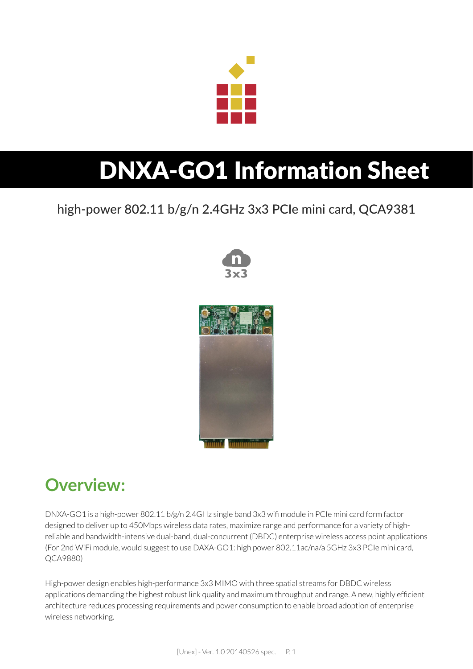

# DNXA-GO1 Information Sheet

#### high-power 802.11 b/g/n 2.4GHz 3x3 PCIe mini card, QCA9381





#### **Overview:**

DNXA-GO1 is a high-power 802.11 b/g/n 2.4GHz single band 3x3 wifi module in PCIe mini card form factor designed to deliver up to 450Mbps wireless data rates, maximize range and performance for a variety of highreliable and bandwidth-intensive dual-band, dual-concurrent (DBDC) enterprise wireless access point applications (For 2nd WiFi module, would suggest to use DAXA-GO1: high power 802.11ac/na/a 5GHz 3x3 PCIe mini card, QCA9880)

High-power design enables high-performance 3x3 MIMO with three spatial streams for DBDC wireless applications demanding the highest robust link quality and maximum throughput and range. A new, highly efficient architecture reduces processing requirements and power consumption to enable broad adoption of enterprise wireless networking.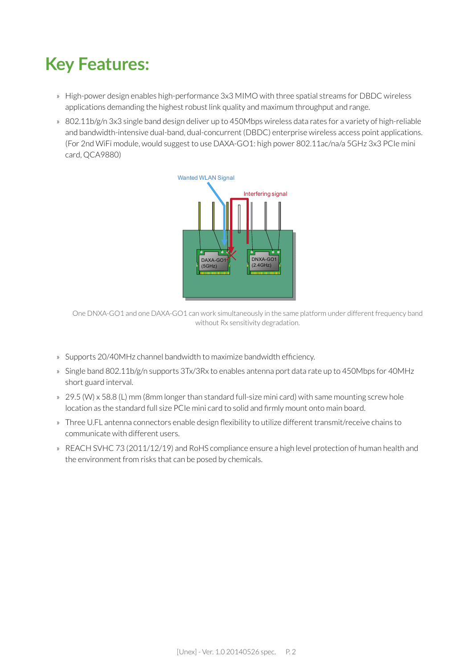### **Key Features:**

- » High-power design enables high-performance 3x3 MIMO with three spatial streams for DBDC wireless applications demanding the highest robust link quality and maximum throughput and range.
- » 802.11b/g/n 3x3 single band design deliver up to 450Mbps wireless data rates for a variety of high-reliable and bandwidth-intensive dual-band, dual-concurrent (DBDC) enterprise wireless access point applications. (For 2nd WiFi module, would suggest to use DAXA-GO1: high power 802.11ac/na/a 5GHz 3x3 PCIe mini card, QCA9880)



One DNXA-GO1 and one DAXA-GO1 can work simultaneously in the same platform under different frequency band without Rx sensitivity degradation.

- » Supports 20/40MHz channel bandwidth to maximize bandwidth efficiency.
- » Single band 802.11b/g/n supports 3Tx/3Rx to enables antenna port data rate up to 450Mbps for 40MHz short guard interval.
- » 29.5 (W) x 58.8 (L) mm (8mm longer than standard full-size mini card) with same mounting screw hole location as the standard full size PCIe mini card to solid and firmly mount onto main board.
- » Three U.FL antenna connectors enable design flexibility to utilize different transmit/receive chains to communicate with different users.
- » REACH SVHC 73 (2011/12/19) and RoHS compliance ensure a high level protection of human health and the environment from risks that can be posed by chemicals.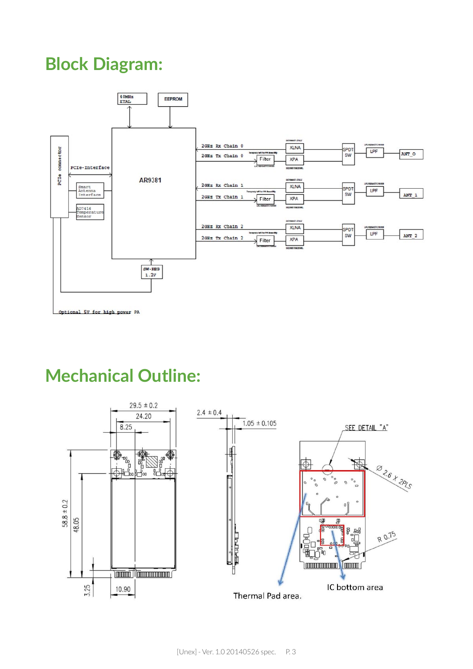#### **Block Diagram:**



#### **Mechanical Outline:**

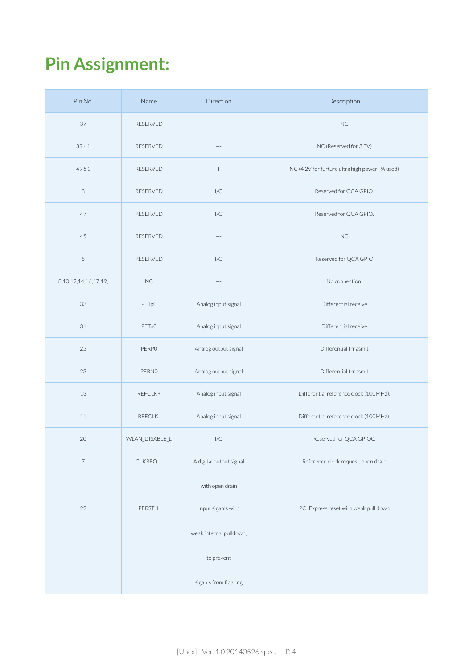## **Pin Assignment:**

| Pin No.                    | Name            | Direction               | Description                                    |
|----------------------------|-----------------|-------------------------|------------------------------------------------|
| 37                         | <b>RESERVED</b> | $\sim$                  | <b>NC</b>                                      |
| 39,41                      | <b>RESERVED</b> | $---$                   | NC (Reserved for 3.3V)                         |
| 49,51                      | <b>RESERVED</b> | $\mathbf{I}$            | NC (4.2V for furture ultra high power PA used) |
| 3                          | <b>RESERVED</b> | I/O                     | Reserved for QCA GPIO.                         |
| 47                         | RESERVED        | I/O                     | Reserved for QCA GPIO.                         |
| 45                         | <b>RESERVED</b> | $\cdots$                | <b>NC</b>                                      |
| 5                          | RESERVED        | I/O                     | Reserved for QCA GPIO                          |
| 8, 10, 12, 14, 16, 17, 19, | $NC$            | $\cdots$                | No connection.                                 |
| 33                         | PETp0           | Analog input signal     | Differential receive                           |
| 31                         | PETnO           | Analog input signal     | Differential receive                           |
| 25                         | <b>PERPO</b>    | Analog output signal    | Differential trnasmit                          |
| 23                         | PERNO           | Analog output signal    | Differential trnasmit                          |
| 13                         | REFCLK+         | Analog input signal     | Differential reference clock (100MHz).         |
| 11                         | REFCLK-         | Analog input signal     | Differential reference clock (100MHz).         |
| 20                         | WLAN_DISABLE_L  | I/O                     | Reserved for QCA GPIO0.                        |
| $\overline{\phantom{a}}$   | CLKREQ_L        | A digital output signal | Reference clock request, open drain            |
|                            |                 | with open drain         |                                                |
| 22                         | PERST_L         | Input siganls with      | PCI Express reset with weak pull down          |
|                            |                 | weak internal pulldown, |                                                |
|                            |                 | to prevent              |                                                |
|                            |                 | siganls from floating   |                                                |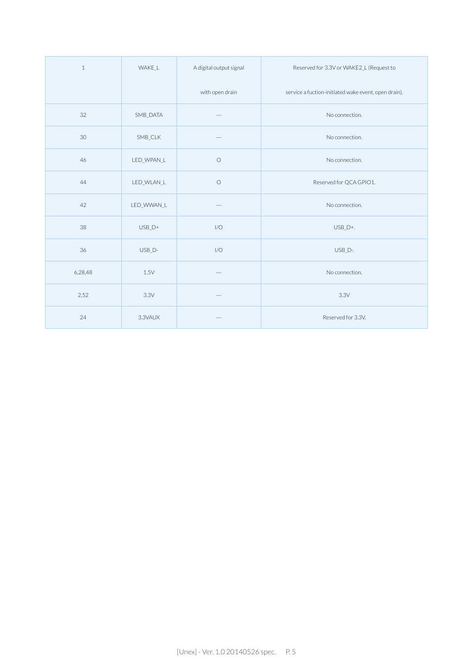| $\mathbf{1}$ | WAKE L     | A digital output signal | Reserved for 3.3V or WAKE2 L (Request to             |
|--------------|------------|-------------------------|------------------------------------------------------|
|              |            | with open drain         | service a fuction-initiated wake event, open drain). |
| 32           | SMB_DATA   | $---$                   | No connection.                                       |
| 30           | SMB CLK    | $\sim$ $\sim$ $\sim$    | No connection.                                       |
| 46           | LED_WPAN_L | $\bigcirc$              | No connection.                                       |
| 44           | LED WLAN L | $\bigcirc$              | Reserved for QCA GPIO1.                              |
| 42           | LED_WWAN_L | $---$                   | No connection.                                       |
| 38           | $USB_D+$   | I/O                     | USB_D+.                                              |
| 36           | USB D-     | I/O                     | USB D-.                                              |
| 6,28,48      | 1.5V       | $---$                   | No connection.                                       |
| 2,52         | 3.3V       | $-\, -\, -$             | 3.3V                                                 |
| 24           | 3.3VAUX    | $- - - -$               | Reserved for 3.3V.                                   |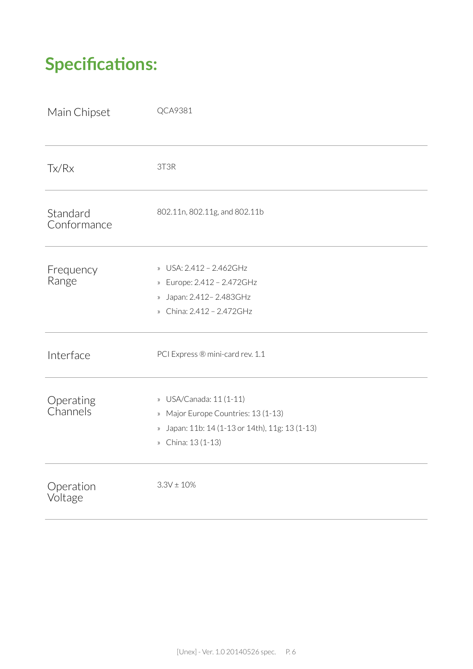## **Specifications:**

| Main Chipset            | QCA9381                                                                                                                                                                         |
|-------------------------|---------------------------------------------------------------------------------------------------------------------------------------------------------------------------------|
| Tx/Rx                   | 3T3R                                                                                                                                                                            |
| Standard<br>Conformance | 802.11n, 802.11g, and 802.11b                                                                                                                                                   |
| Frequency<br>Range      | USA: 2.412 - 2.462GHz<br>$\rangle\!\rangle$<br>Europe: 2.412 - 2.472GHz<br>$\rangle\!\rangle$<br>» Japan: 2.412 - 2.483GHz<br>» China: 2.412 - 2.472GHz                         |
| Interface               | PCI Express ® mini-card rev. 1.1                                                                                                                                                |
| Operating<br>Channels   | USA/Canada: 11 (1-11)<br>$\rangle\!\rangle$<br>» Major Europe Countries: 13 (1-13)<br>Japan: 11b: 14 (1-13 or 14th), 11g: 13 (1-13)<br>$\rangle\!\rangle$<br>» China: 13 (1-13) |
| Operation<br>Voltage    | $3.3V \pm 10%$                                                                                                                                                                  |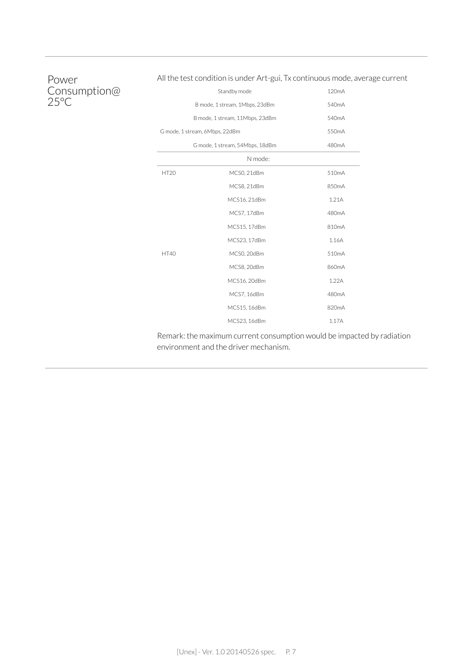#### Power Consumption@ 25°C

#### All the test condition is under Art-gui, Tx continuous mode, average current

|             | Standby mode                    | 120 <sub>m</sub> A |
|-------------|---------------------------------|--------------------|
|             | B mode, 1 stream, 1Mbps, 23dBm  | 540mA              |
|             | B mode, 1 stream, 11Mbps, 23dBm | 540mA              |
|             | G mode, 1 stream, 6Mbps, 22dBm  | 550mA              |
|             | 480mA                           |                    |
|             | N mode:                         |                    |
| <b>HT20</b> | MCS0, 21dBm                     | 510mA              |
|             | MCS8, 21dBm                     | 850mA              |
|             | MCS16, 21dBm                    | 1.21A              |
|             | MCS7, 17dBm                     | 480mA              |
|             | MCS15, 17dBm                    | 810mA              |
|             | MCS23, 17dBm                    | 1.16A              |
| <b>HT40</b> | MCS0, 20dBm                     | 510mA              |
|             | MCS8, 20dBm                     | 860mA              |
|             | MCS16, 20dBm                    | 1.22A              |
|             | MCS7, 16dBm                     | 480mA              |
|             | MCS15, 16dBm                    | 820mA              |
|             | MCS23, 16dBm                    | 1.17A              |

Remark: the maximum current consumption would be impacted by radiation environment and the driver mechanism.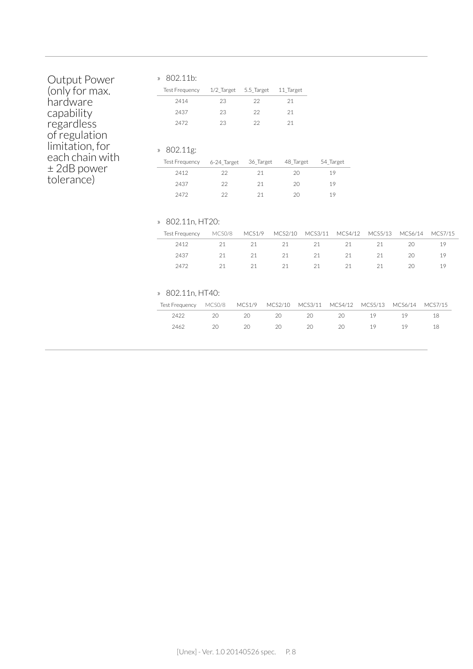| Output Power<br>(only for max.<br>hardware<br>capability<br>regardless<br>of regulation | » 802.11b:<br><b>Test Frequency</b><br>2414<br>2437<br>2472   | 1/2 Target<br>23<br>23<br>23 | 5.5_Target<br>22<br>22<br>22 | 11 Target<br>21<br>21<br>21 |               |               |               |               |               |
|-----------------------------------------------------------------------------------------|---------------------------------------------------------------|------------------------------|------------------------------|-----------------------------|---------------|---------------|---------------|---------------|---------------|
| limitation, for<br>each chain with                                                      | 802.11g:<br>$\rangle\!\rangle$<br><b>Test Frequency</b>       | 6-24 Target                  | 36_Target                    |                             | 48 Target     | 54 Target     |               |               |               |
| $\pm$ 2dB power                                                                         | 2412                                                          | 22                           | 21                           |                             | 20            | 19            |               |               |               |
| tolerance)                                                                              | 2437                                                          | 22                           | 21                           |                             | 20            | 19            |               |               |               |
|                                                                                         | 2472                                                          | 22                           | 21                           |                             | 20            | 19            |               |               |               |
|                                                                                         | 802.11n, HT20:<br>$\rangle\!\rangle$<br><b>Test Frequency</b> | MCS0/8                       | <b>MCS1/9</b>                | MCS2/10                     | MCS3/11       | MCS4/12       | MCS5/13       | MCS6/14       | MCS7/15       |
|                                                                                         | 2412                                                          | 21                           | 21                           | 21                          | 21            | 21            | 21            | 20            | 19            |
|                                                                                         | 2437                                                          | 21                           | 21                           | 21                          | 21            | 21            | 21            | 20            | 19            |
|                                                                                         | 2472                                                          | 21                           | 21                           | 21                          | 21            | 21            | 21            | 20            | 19            |
|                                                                                         | 802.11n, HT40:<br>$\rangle\!\rangle$                          |                              |                              |                             |               |               |               |               |               |
|                                                                                         | <b>Test Frequency</b><br>2422                                 | MCS0/8<br>20                 | MCS1/9<br>20                 | MCS2/10<br>20               | MCS3/11<br>20 | MCS4/12<br>20 | MCS5/13<br>19 | MCS6/14<br>19 | MCS7/15<br>18 |
|                                                                                         | 2462                                                          | 20                           | 20                           | 20                          | 20            | 20            | 19            | 19            | 18            |
|                                                                                         |                                                               |                              |                              |                             |               |               |               |               |               |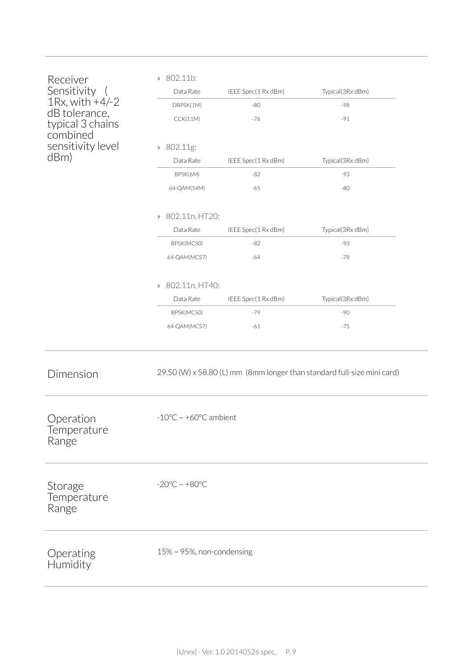| Receiver<br>Sensitivity<br>$1Rx$ , with $+4/-2$<br>dB tolerance,<br>typical 3 chains<br>combined<br>sensitivity level<br>dBm) | » 802.11b:<br>Data Rate<br>DBPSK(1M)<br>CCK(11M)<br>» 802.11g:<br>Data Rate<br>BPSK(6M)<br>64-QAM(54M)<br>» 802.11n, HT20:<br>Data Rate<br>BPSK(MCSO) | IEEE Spec(1 Rx dBm)<br>$-80$<br>$-76$<br>IEEE Spec(1 Rx dBm)<br>$-82$<br>$-65$<br>IEEE Spec(1 Rx dBm)<br>$-82$ | Typical(3Rx dBm)<br>-98<br>$-91$<br>Typical(3Rx dBm)<br>-93<br>$-80$<br>Typical(3Rx dBm)<br>$-93$ |  |  |
|-------------------------------------------------------------------------------------------------------------------------------|-------------------------------------------------------------------------------------------------------------------------------------------------------|----------------------------------------------------------------------------------------------------------------|---------------------------------------------------------------------------------------------------|--|--|
|                                                                                                                               | 64-QAM(MCS7)                                                                                                                                          | $-64$                                                                                                          | $-78$                                                                                             |  |  |
|                                                                                                                               | » 802.11n, HT40:<br>Data Rate<br>BPSK(MCSO)                                                                                                           | IEEE Spec(1 Rx dBm)<br>$-79$                                                                                   | Typical(3Rx dBm)<br>$-90$                                                                         |  |  |
|                                                                                                                               | 64-QAM(MCS7)                                                                                                                                          | $-61$                                                                                                          | $-75$                                                                                             |  |  |
| Dimension                                                                                                                     |                                                                                                                                                       |                                                                                                                | 29.50 (W) x 58.80 (L) mm (8mm longer than standard full-size mini card)                           |  |  |
| Operation<br>Temperature<br>Range                                                                                             | $-10^{\circ}$ C ~ +60 $^{\circ}$ C ambient                                                                                                            |                                                                                                                |                                                                                                   |  |  |
| Storage<br>Temperature<br>Range                                                                                               | $-20^{\circ}$ C ~ $+80^{\circ}$ C                                                                                                                     |                                                                                                                |                                                                                                   |  |  |
| Operating<br>Humidity                                                                                                         | $15\% \sim 95\%$ , non-condensing                                                                                                                     |                                                                                                                |                                                                                                   |  |  |